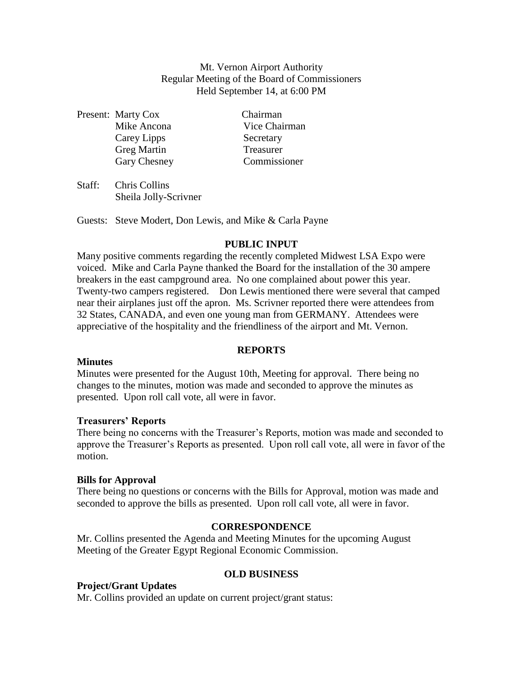Mt. Vernon Airport Authority Regular Meeting of the Board of Commissioners Held September 14, at 6:00 PM

Present: Marty Cox Chairman Carey Lipps Secretary Greg Martin Treasurer

Mike Ancona Vice Chairman Gary Chesney Commissioner

Staff: Chris Collins Sheila Jolly-Scrivner

Guests: Steve Modert, Don Lewis, and Mike & Carla Payne

# **PUBLIC INPUT**

Many positive comments regarding the recently completed Midwest LSA Expo were voiced. Mike and Carla Payne thanked the Board for the installation of the 30 ampere breakers in the east campground area. No one complained about power this year. Twenty-two campers registered. Don Lewis mentioned there were several that camped near their airplanes just off the apron. Ms. Scrivner reported there were attendees from 32 States, CANADA, and even one young man from GERMANY. Attendees were appreciative of the hospitality and the friendliness of the airport and Mt. Vernon.

# **REPORTS**

### **Minutes**

Minutes were presented for the August 10th, Meeting for approval. There being no changes to the minutes, motion was made and seconded to approve the minutes as presented. Upon roll call vote, all were in favor.

# **Treasurers' Reports**

There being no concerns with the Treasurer's Reports, motion was made and seconded to approve the Treasurer's Reports as presented. Upon roll call vote, all were in favor of the motion.

### **Bills for Approval**

There being no questions or concerns with the Bills for Approval, motion was made and seconded to approve the bills as presented. Upon roll call vote, all were in favor.

# **CORRESPONDENCE**

Mr. Collins presented the Agenda and Meeting Minutes for the upcoming August Meeting of the Greater Egypt Regional Economic Commission.

### **OLD BUSINESS**

# **Project/Grant Updates**

Mr. Collins provided an update on current project/grant status: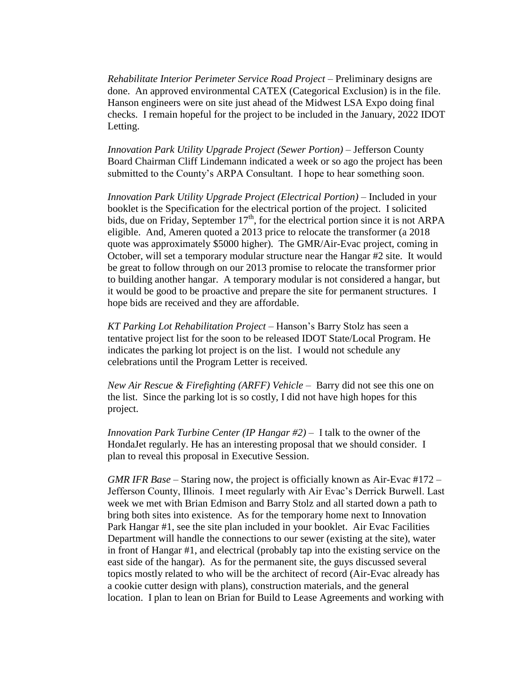*Rehabilitate Interior Perimeter Service Road Project* – Preliminary designs are done. An approved environmental CATEX (Categorical Exclusion) is in the file. Hanson engineers were on site just ahead of the Midwest LSA Expo doing final checks. I remain hopeful for the project to be included in the January, 2022 IDOT Letting.

*Innovation Park Utility Upgrade Project (Sewer Portion) –* Jefferson County Board Chairman Cliff Lindemann indicated a week or so ago the project has been submitted to the County's ARPA Consultant. I hope to hear something soon.

*Innovation Park Utility Upgrade Project (Electrical Portion) –* Included in your booklet is the Specification for the electrical portion of the project. I solicited bids, due on Friday, September 17<sup>th</sup>, for the electrical portion since it is not ARPA eligible. And, Ameren quoted a 2013 price to relocate the transformer (a 2018 quote was approximately \$5000 higher). The GMR/Air-Evac project, coming in October, will set a temporary modular structure near the Hangar #2 site. It would be great to follow through on our 2013 promise to relocate the transformer prior to building another hangar. A temporary modular is not considered a hangar, but it would be good to be proactive and prepare the site for permanent structures. I hope bids are received and they are affordable.

*KT Parking Lot Rehabilitation Project –* Hanson's Barry Stolz has seen a tentative project list for the soon to be released IDOT State/Local Program. He indicates the parking lot project is on the list. I would not schedule any celebrations until the Program Letter is received.

*New Air Rescue & Firefighting (ARFF) Vehicle* – Barry did not see this one on the list. Since the parking lot is so costly, I did not have high hopes for this project.

*Innovation Park Turbine Center (IP Hangar #2)* – I talk to the owner of the HondaJet regularly. He has an interesting proposal that we should consider. I plan to reveal this proposal in Executive Session.

*GMR IFR Base* – Staring now, the project is officially known as Air-Evac #172 – Jefferson County, Illinois. I meet regularly with Air Evac's Derrick Burwell. Last week we met with Brian Edmison and Barry Stolz and all started down a path to bring both sites into existence. As for the temporary home next to Innovation Park Hangar #1, see the site plan included in your booklet. Air Evac Facilities Department will handle the connections to our sewer (existing at the site), water in front of Hangar #1, and electrical (probably tap into the existing service on the east side of the hangar). As for the permanent site, the guys discussed several topics mostly related to who will be the architect of record (Air-Evac already has a cookie cutter design with plans), construction materials, and the general location. I plan to lean on Brian for Build to Lease Agreements and working with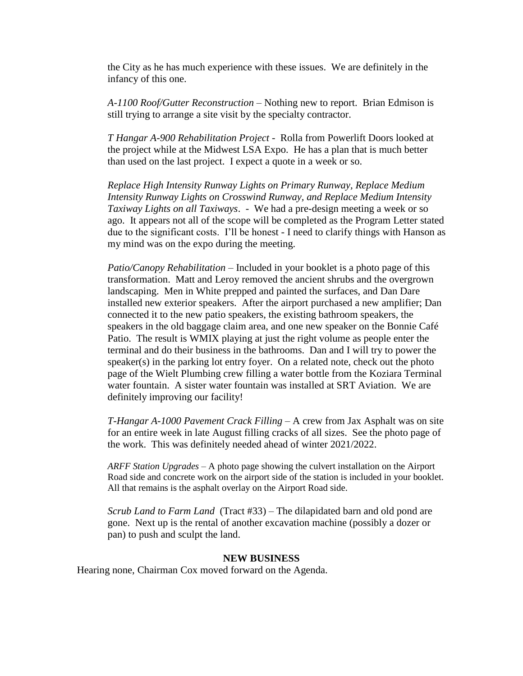the City as he has much experience with these issues. We are definitely in the infancy of this one.

*A-1100 Roof/Gutter Reconstruction* – Nothing new to report. Brian Edmison is still trying to arrange a site visit by the specialty contractor.

*T Hangar A-900 Rehabilitation Project* - Rolla from Powerlift Doors looked at the project while at the Midwest LSA Expo. He has a plan that is much better than used on the last project. I expect a quote in a week or so.

*Replace High Intensity Runway Lights on Primary Runway, Replace Medium Intensity Runway Lights on Crosswind Runway, and Replace Medium Intensity Taxiway Lights on all Taxiways*. - We had a pre-design meeting a week or so ago. It appears not all of the scope will be completed as the Program Letter stated due to the significant costs. I'll be honest - I need to clarify things with Hanson as my mind was on the expo during the meeting.

*Patio/Canopy Rehabilitation* – Included in your booklet is a photo page of this transformation. Matt and Leroy removed the ancient shrubs and the overgrown landscaping. Men in White prepped and painted the surfaces, and Dan Dare installed new exterior speakers. After the airport purchased a new amplifier; Dan connected it to the new patio speakers, the existing bathroom speakers, the speakers in the old baggage claim area, and one new speaker on the Bonnie Café Patio. The result is WMIX playing at just the right volume as people enter the terminal and do their business in the bathrooms. Dan and I will try to power the speaker(s) in the parking lot entry foyer. On a related note, check out the photo page of the Wielt Plumbing crew filling a water bottle from the Koziara Terminal water fountain. A sister water fountain was installed at SRT Aviation. We are definitely improving our facility!

*T-Hangar A-1000 Pavement Crack Filling* – A crew from Jax Asphalt was on site for an entire week in late August filling cracks of all sizes. See the photo page of the work. This was definitely needed ahead of winter 2021/2022.

*ARFF Station Upgrades* – A photo page showing the culvert installation on the Airport Road side and concrete work on the airport side of the station is included in your booklet. All that remains is the asphalt overlay on the Airport Road side.

*Scrub Land to Farm Land* (Tract #33) – The dilapidated barn and old pond are gone. Next up is the rental of another excavation machine (possibly a dozer or pan) to push and sculpt the land.

#### **NEW BUSINESS**

Hearing none, Chairman Cox moved forward on the Agenda.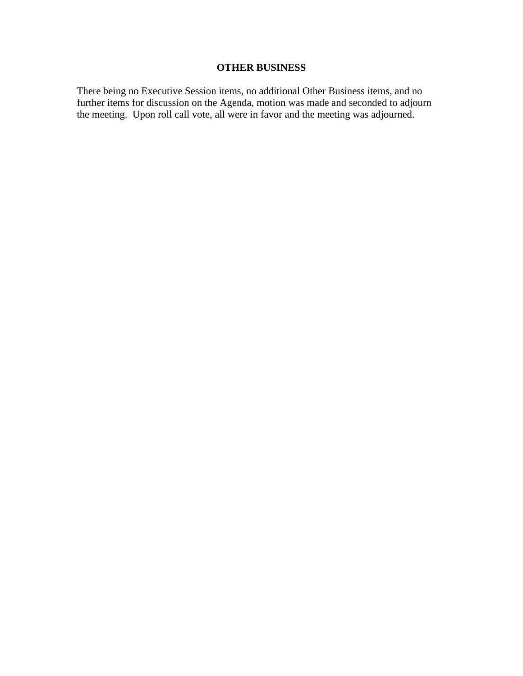### **OTHER BUSINESS**

There being no Executive Session items, no additional Other Business items, and no further items for discussion on the Agenda, motion was made and seconded to adjourn the meeting. Upon roll call vote, all were in favor and the meeting was adjourned.